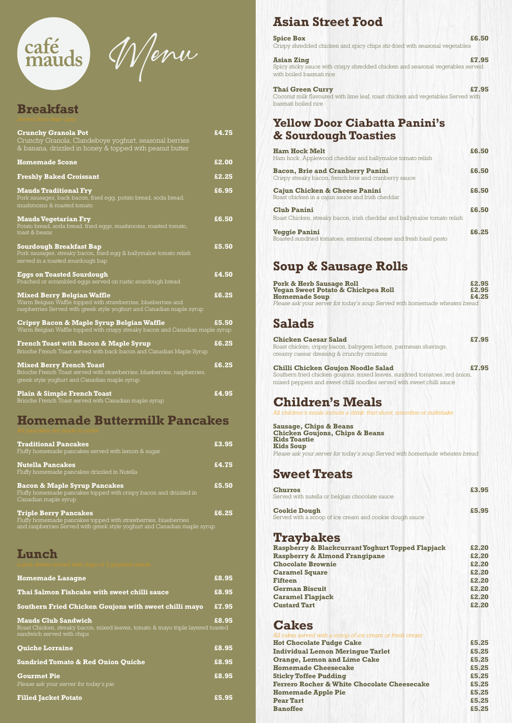

café Menu

## **Breakfast**

| <b>Crunchy Granola Pot</b><br>Crunchy Granola, Clandeboye yoghurt, seasonal berries<br>& banana, drizzled in honey & topped with peanut butter                             | £4.75 |
|----------------------------------------------------------------------------------------------------------------------------------------------------------------------------|-------|
| <b>Homemade Scone</b>                                                                                                                                                      | £2.00 |
| <b>Freshly Baked Croissant</b>                                                                                                                                             | £2.25 |
| <b>Mauds Traditional Fry</b><br>Pork sausages, back bacon, fried egg, potato bread, soda bread,<br>mushrooms & roasted tomato                                              | £6.95 |
| <b>Mauds Vegetarian Fry</b><br>Potato bread, soda bread, fried eggs, mushrooms, roasted tomato,<br>toast & beans                                                           | £6.50 |
| <b>Sourdough Breakfast Bap</b><br>Pork sausages, streaky bacon, fried egg & ballymaloe tomato relish<br>served in a toasted sourdough bap                                  | £5.50 |
| <b>Eggs on Toasted Sourdough</b><br>Poached or scrambled eggs served on rustic sourdough bread                                                                             | £4.50 |
| <b>Mixed Berry Belgian Waffle</b><br>Warm Belgian Waffle topped with strawberries, blueberries and<br>raspberries Served with greek style yoghurt and Canadian maple syrup | £6.25 |
| Cripsy Bacon & Maple Syrup Belgian Waffle<br>Warm Belgian Waffle topped with crispy streaky bacon and Canadian maple syrup                                                 | £5.50 |
| <b>French Toast with Bacon &amp; Maple Syrup</b><br>Brioche French Toast served with back bacon and Canadian Maple Syrup                                                   | £6.25 |
| <b>Mixed Berry French Toast</b><br>Brioche French Toast served with strawberries, blueberries, raspberries,<br>greek style yoghurt and Canadian maple syrup                | £6.25 |
| <b>Plain &amp; Simple French Toast</b><br>Brioche French Toast served with Canadian maple syrup                                                                            | £4.95 |

## **Homemade Buttermilk Pancakes**

| <b>Traditional Pancakes</b><br>Fluffy homemade pancakes served with lemon & sugar                                                                                          | £3,95 |
|----------------------------------------------------------------------------------------------------------------------------------------------------------------------------|-------|
| <b>Nutella Pancakes</b><br>Fluffy homemade pancakes drizzled in Nutella                                                                                                    | £4.75 |
| <b>Bacon &amp; Maple Syrup Pancakes</b><br>Fluffy homemade pancakes topped with crispy bacon and drizzled in<br>Canadian maple syrup                                       | £5.50 |
| <b>Triple Berry Pancakes</b><br>Fluffy homemade pancakes topped with strawberries, blueberries<br>and raspberries Served with greek style yoghurt and Canadian maple syrup | £6.25 |

| Lunch                                 |
|---------------------------------------|
| Lunch dishes served with chips or 2 g |
| <b>Homemade Lasagne</b>               |

| £8.95                                                                                     |
|-------------------------------------------------------------------------------------------|
| £8.95                                                                                     |
| £7.95                                                                                     |
| £8.95<br>Roast Chicken, streaky bacon, mixed leaves, tomato & mayo triple layered toasted |
| £8.95                                                                                     |
| £8.95                                                                                     |
| £8.95                                                                                     |
|                                                                                           |

**Filled Jacket Potato £5.95**

# **Asian Street Food**

| <b>Spice Box</b>                                                            | £6.50 |
|-----------------------------------------------------------------------------|-------|
| Crispy shredded chicken and spicy chips stir-fried with seasonal vegetables |       |
| Asian Zing                                                                  | £7.95 |

Spicy sticky sauce with crispy shredded chicken and seasonal vegetables served with boiled basmati rice

#### **Thai Green Curry £7.95**

Coconut milk flavoured with lime leaf, roast chicken and vegetables Served with basmati boiled rice

#### **Yellow Door Ciabatta Panini's & Sourdough Toasties**

| <b>Ham Hock Melt</b><br>Ham hock, Applewood cheddar and ballymaloe tomato relish                 | £6.50 |
|--------------------------------------------------------------------------------------------------|-------|
| <b>Bacon, Brie and Cranberry Panini</b><br>Crispy streaky bacon, french brie and cranberry sauce | £6.50 |
| Cajun Chicken & Cheese Panini<br>Roast chicken in a cajun sauce and Irish cheddar                | £6.50 |
| <b>Club Panini</b><br>Roast Chicken, streaky bacon, irish cheddar and ballymaloe tomato relish   | £6.50 |
| <b>Veggie Panini</b><br>Roasted sundried tomatoes, emmental cheese and fresh basil pesto         | £6.25 |

## **Soup & Sausage Rolls**

| <b>Pork &amp; Herb Sausage Roll</b>                                        | £2.95 |
|----------------------------------------------------------------------------|-------|
| Vegan Sweet Potato & Chickpea Roll                                         | £2.95 |
| <b>Homemade Soup</b>                                                       | £4.25 |
| Please ask your server for today's soup Served with homemade wheaten bread |       |

## **Salads**

| <b>Chicken Caesar Salad</b><br>Roast chicken, cripsy bacon, babygem lettuce, parmesan shavings,<br>creamy caesar dressing & crunchy croutons                                                      | £7.95 |
|---------------------------------------------------------------------------------------------------------------------------------------------------------------------------------------------------|-------|
| <b>Chilli Chicken Goujon Noodle Salad</b><br>Southern fried chicken goujons, mixed leaves, sundried tomatoes, red onion,<br>mixed peppers and sweet chilli noodles served with sweet chilli sauce | £7.95 |
| <b>Children's Meals</b>                                                                                                                                                                           |       |

*All children's meals include a drink: fruit shoot, smoothie or milkshake*

**Sausage, Chips & Beans Chicken Goujons, Chips & Beans Kids Toastie Kids Soup** Please ask your server for today's soup Served with homemade wheaten bread

# **Sweet Treats**

| <b>Churros</b>                                 | £3.95 |
|------------------------------------------------|-------|
| Served with nutella or belgian chocolate sauce |       |

**Cookie Dough £5.95** Served with a scoop of ice cream and cookie dough sauce

## **Traybakes**

| Raspberry & Blackcurrant Yoghurt Topped Flapjack | £2.20 |
|--------------------------------------------------|-------|
| <b>Raspberry &amp; Almond Frangipane</b>         | £2.20 |
| <b>Chocolate Brownie</b>                         | £2.20 |
| <b>Caramel Square</b>                            | £2.20 |
| <b>Fifteen</b>                                   | £2.20 |
| <b>German Biscuit</b>                            | £2.20 |
| <b>Caramel Flapjack</b>                          | £2.20 |
| <b>Custard Tart</b>                              | £2.20 |
|                                                  |       |

#### **Cakes**

| All cakes served with a scoop of ice cream or fresh cream |       |
|-----------------------------------------------------------|-------|
| <b>Hot Chocolate Fudge Cake</b>                           | £5.25 |
| <b>Individual Lemon Meringue Tarlet</b>                   | £5.25 |
| <b>Orange, Lemon and Lime Cake</b>                        | £5.25 |
| <b>Homemade Cheesecake</b>                                | £5.25 |
| <b>Sticky Toffee Pudding</b>                              | £5.25 |
| <b>Ferrero Rocher &amp; White Chocolate Cheesecake</b>    | £5.25 |
| <b>Homemade Apple Pie</b>                                 | £5.25 |
| <b>Pear Tart</b>                                          | £5.25 |
| <b>Banoffee</b>                                           | £5.25 |